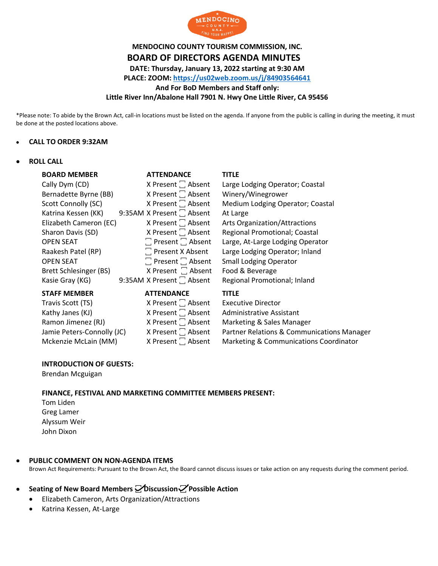

# **MENDOCINO COUNTY TOURISM COMMISSION, INC. BOARD OF DIRECTORS AGENDA MINUTES DATE: Thursday, January 13, 2022 starting at 9:30 AM PLACE: ZOOM:<https://us02web.zoom.us/j/84903564641> And For BoD Members and Staff only: Little River Inn/Abalone Hall 7901 N. Hwy One Little River, CA 95456**

\*Please note: To abide by the Brown Act, call-in locations must be listed on the agenda. If anyone from the public is calling in during the meeting, it must be done at the posted locations above.

#### • **CALL TO ORDER 9:32AM**

#### • **ROLL CALL**

| <b>BOARD MEMBER</b>    | <b>ATTENDANCE</b>             | <b>TITLE</b>                     |
|------------------------|-------------------------------|----------------------------------|
| Cally Dym (CD)         | X Present $\Box$ Absent       | Large Lodging Operator; Coastal  |
| Bernadette Byrne (BB)  | X Present <sup>1</sup> Absent | Winery/Winegrower                |
| Scott Connolly (SC)    | X Present $\Box$ Absent       | Medium Lodging Operator; Coastal |
| Katrina Kessen (KK)    | 9:35AM X Present [ Absent     | At Large                         |
| Elizabeth Cameron (EC) | X Present   Absent            | Arts Organization/Attractions    |
| Sharon Davis (SD)      | X Present $\Box$ Absent       | Regional Promotional; Coastal    |
| <b>OPEN SEAT</b>       | $\Box$ Present $\Box$ Absent  | Large, At-Large Lodging Operator |
| Raakesh Patel (RP)     | $\Box$ Present X Absent       | Large Lodging Operator; Inland   |
| <b>OPEN SEAT</b>       | $\Box$ Present $\Box$ Absent  | <b>Small Lodging Operator</b>    |
| Brett Schlesinger (BS) | X Present $\Box$ Absent       | Food & Beverage                  |
| Kasie Gray (KG)        | 9:35AM X Present   Absent     | Regional Promotional; Inland     |
| <b>STAFF MEMBER</b>    | <b>ATTENDANCE</b>             | <b>TITLE</b>                     |
| Travis Scott (TS)      | X Present $\Box$ Absent       | <b>Executive Director</b>        |

Kathy Janes  $(KJ)$  X Present  $\Box$  Absent Administrative Assistant

Ramon Jimenez (RJ)  $X$  Present  $\Box$  Absent Marketing & Sales Manager<br>Jamie Peters-Connolly (JC)  $X$  Present  $\Box$  Absent Partner Relations & Commun Jamie Peters-Connolly (JC)  $\blacksquare$  X Present  $\square$  Absent Partner Relations & Communications Manager Mckenzie McLain (MM)  $X$  Present  $\Box$  Absent Marketing & Communications Coordinator

#### **INTRODUCTION OF GUESTS:**

Brendan Mcguigan

**FINANCE, FESTIVAL AND MARKETING COMMITTEE MEMBERS PRESENT:** 

Tom Liden Greg Lamer Alyssum Weir John Dixon

#### • **PUBLIC COMMENT ON NON-AGENDA ITEMS**

Brown Act Requirements: Pursuant to the Brown Act, the Board cannot discuss issues or take action on any requests during the comment period.

## • **Seating of New Board Members ꙱ Discussion ꙱ Possible Action**

- Elizabeth Cameron, Arts Organization/Attractions
- Katrina Kessen, At-Large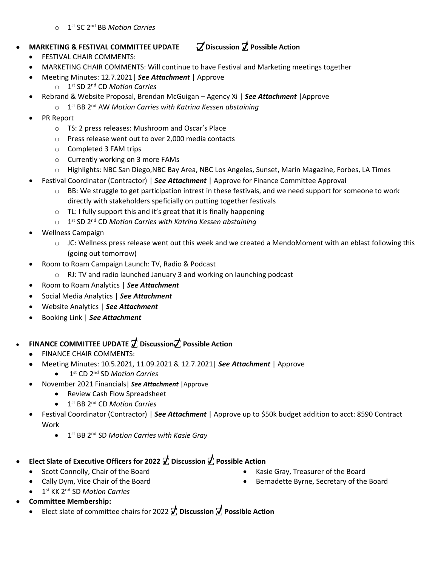### o 1 st SC 2nd BB *Motion Carries*

## • **MARKETING & FESTIVAL COMMITTEE UPDATE ꙱ Discussion ꙱ Possible Action**

- FESTIVAL CHAIR COMMENTS:
- MARKETING CHAIR COMMENTS: Will continue to have Festival and Marketing meetings together
- Meeting Minutes: 12.7.2021| *See Attachment* | Approve
	- o 1 st SD 2nd CD *Motion Carries*
- Rebrand & Website Proposal, Brendan McGuigan Agency Xi | *See Attachment* |Approve
	- o 1 st BB 2nd AW *Motion Carries with Katrina Kessen abstaining*
- PR Report
	- o TS: 2 press releases: Mushroom and Oscar's Place
	- o Press release went out to over 2,000 media contacts
	- o Completed 3 FAM trips
	- o Currently working on 3 more FAMs
	- o Highlights: NBC San Diego,NBC Bay Area, NBC Los Angeles, Sunset, Marin Magazine, Forbes, LA Times
- Festival Coordinator (Contractor) | *See Attachment* | Approve for Finance Committee Approval
	- $\circ$  BB: We struggle to get participation intrest in these festivals, and we need support for someone to work directly with stakeholders speficially on putting together festivals
	- o TL: I fully support this and it's great that it is finally happening
	- o 1 st SD 2nd CD *Motion Carries with Katrina Kessen abstaining*
- Wellness Campaign
	- o JC: Wellness press release went out this week and we created a MendoMoment with an eblast following this (going out tomorrow)
- Room to Roam Campaign Launch: TV, Radio & Podcast
	- o RJ: TV and radio launched January 3 and working on launching podcast
- Room to Roam Analytics | *See Attachment*
- Social Media Analytics | *See Attachment*
- Website Analytics | *See Attachment*
- Booking Link | *See Attachment*

# • **FINANCE COMMITTEE UPDATE ꙱ Discussion꙱ Possible Action**

- FINANCE CHAIR COMMENTS:
- Meeting Minutes: 10.5.2021, 11.09.2021 & 12.7.2021| *See Attachment* | Approve
	- 1 st CD 2nd SD *Motion Carries*
- November 2021 Financials| *See Attachment* |Approve
	- Review Cash Flow Spreadsheet
	- 1 st BB 2nd CD *Motion Carries*
- Festival Coordinator (Contractor) | *See Attachment* | Approve up to \$50k budget addition to acct: 8590 Contract Work
	- 1 st BB 2nd SD *Motion Carries with Kasie Gray*

# • **Elect Slate of Executive Officers for 2022 ꙱ Discussion ꙱ Possible Action**

- Scott Connolly, Chair of the Board
- Cally Dym, Vice Chair of the Board
- 1 st KK 2nd SD *Motion Carries*
- **Committee Membership:**
	- Elect slate of committee chairs for 2022  $\vec{J}$ , Discussion  $\vec{J}$ , Possible Action
- Kasie Gray, Treasurer of the Board
- Bernadette Byrne, Secretary of the Board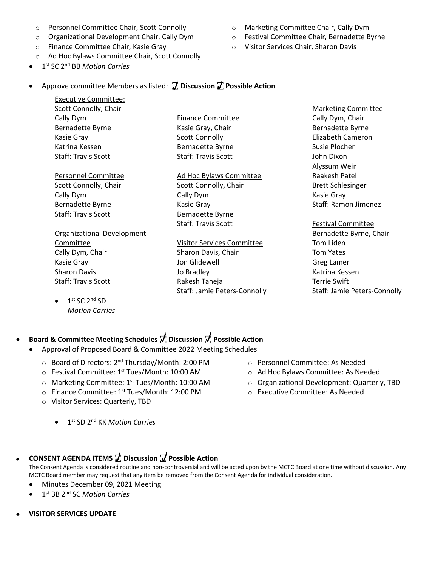- o Personnel Committee Chair, Scott Connolly
- o Organizational Development Chair, Cally Dym
- o Finance Committee Chair, Kasie Gray
- o Ad Hoc Bylaws Committee Chair, Scott Connolly
- 1 st SC 2nd BB *Motion Carries*
- o Marketing Committee Chair, Cally Dym
- o Festival Committee Chair, Bernadette Byrne
- o Visitor Services Chair, Sharon Davis

## • Approve committee Members as listed: **꙱ Discussion ꙱ Possible Action**

Executive Committee: Scott Connolly, Chair Cally Dym Bernadette Byrne Kasie Gray Katrina Kessen Staff: Travis Scott

Personnel Committee Scott Connolly, Chair Cally Dym Bernadette Byrne Staff: Travis Scott

Organizational Development Committee Cally Dym, Chair Kasie Gray Sharon Davis Staff: Travis Scott

 $\bullet$  1<sup>st</sup> SC 2<sup>nd</sup> SD *Motion Carries*

Finance Committee Kasie Gray, Chair Scott Connolly Bernadette Byrne Staff: Travis Scott

Ad Hoc Bylaws Committee Scott Connolly, Chair Cally Dym Kasie Gray Bernadette Byrne Staff: Travis Scott

Visitor Services Committee Sharon Davis, Chair Jon Glidewell Jo Bradley Rakesh Taneja Staff: Jamie Peters-Connolly

Marketing Committee Cally Dym, Chair Bernadette Byrne Elizabeth Cameron Susie Plocher John Dixon Alyssum Weir Raakesh Patel Brett Schlesinger Kasie Gray Staff: Ramon Jimenez

Festival Committee Bernadette Byrne, Chair Tom Liden Tom Yates Greg Lamer Katrina Kessen Terrie Swift Staff: Jamie Peters-Connolly

## • **Board & Committee Meeting Schedules ꙱ Discussion ꙱ Possible Action**

- Approval of Proposed Board & Committee 2022 Meeting Schedules
	- Board of Directors: 2<sup>nd</sup> Thursday/Month: 2:00 PM
	- $\circ$  Festival Committee: 1<sup>st</sup> Tues/Month: 10:00 AM
	- o Marketing Committee: 1st Tues/Month: 10:00 AM
	- o Finance Committee: 1<sup>st</sup> Tues/Month: 12:00 PM
	- o Visitor Services: Quarterly, TBD
		- 1 st SD 2nd KK *Motion Carries*
- o Personnel Committee: As Needed
- o Ad Hoc Bylaws Committee: As Needed
- o Organizational Development: Quarterly, TBD
- o Executive Committee: As Needed

## • **CONSENT AGENDA ITEMS ꙱ Discussion ꙱ Possible Action**

The Consent Agenda is considered routine and non-controversial and will be acted upon by the MCTC Board at one time without discussion. Any MCTC Board member may request that any item be removed from the Consent Agenda for individual consideration.

- Minutes December 09, 2021 Meeting
- 1 st BB 2nd SC *Motion Carries*
- **VISITOR SERVICES UPDATE**